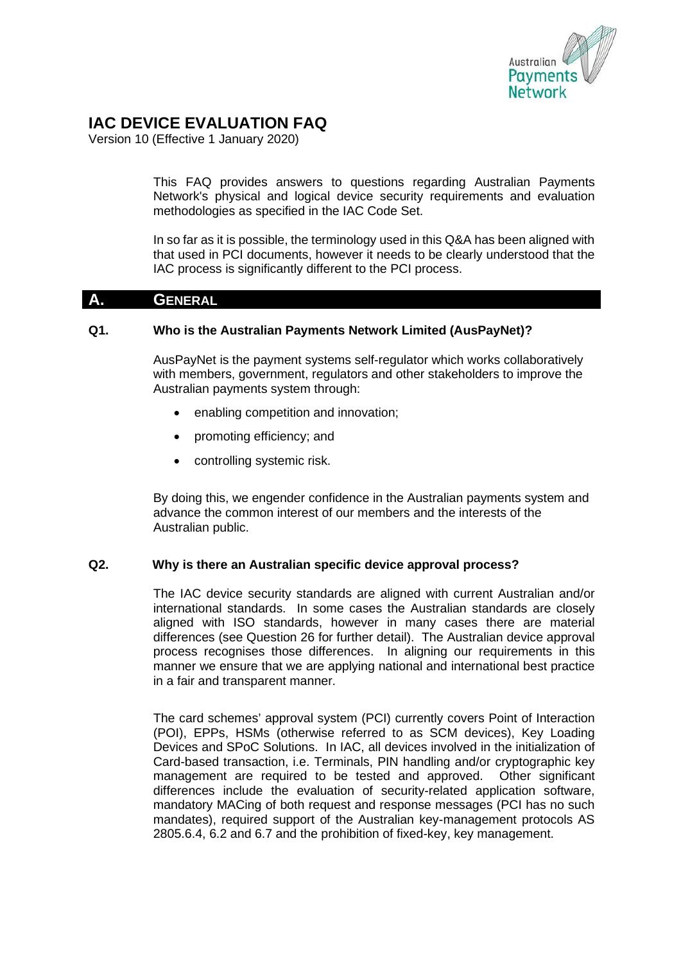

# **IAC DEVICE EVALUATION FAQ**

Version 10 (Effective 1 January 2020)

This FAQ provides answers to questions regarding Australian Payments Network's physical and logical device security requirements and evaluation methodologies as specified in the IAC Code Set.

In so far as it is possible, the terminology used in this Q&A has been aligned with that used in PCI documents, however it needs to be clearly understood that the IAC process is significantly different to the PCI process.

## **A. GENERAL**

## **Q1. Who is the Australian Payments Network Limited (AusPayNet)?**

AusPayNet is the payment systems self-regulator which works collaboratively with members, government, regulators and other stakeholders to improve the Australian payments system through:

- enabling competition and innovation:
- promoting efficiency; and
- controlling systemic risk.

By doing this, we engender confidence in the Australian payments system and advance the common interest of our members and the interests of the Australian public.

## **Q2. Why is there an Australian specific device approval process?**

The IAC device security standards are aligned with current Australian and/or international standards. In some cases the Australian standards are closely aligned with ISO standards, however in many cases there are material differences (see Question 26 for further detail). The Australian device approval process recognises those differences. In aligning our requirements in this manner we ensure that we are applying national and international best practice in a fair and transparent manner.

The card schemes' approval system (PCI) currently covers Point of Interaction (POI), EPPs, HSMs (otherwise referred to as SCM devices), Key Loading Devices and SPoC Solutions. In IAC, all devices involved in the initialization of Card-based transaction, i.e. Terminals, PIN handling and/or cryptographic key management are required to be tested and approved. Other significant differences include the evaluation of security-related application software, mandatory MACing of both request and response messages (PCI has no such mandates), required support of the Australian key-management protocols AS 2805.6.4, 6.2 and 6.7 and the prohibition of fixed-key, key management.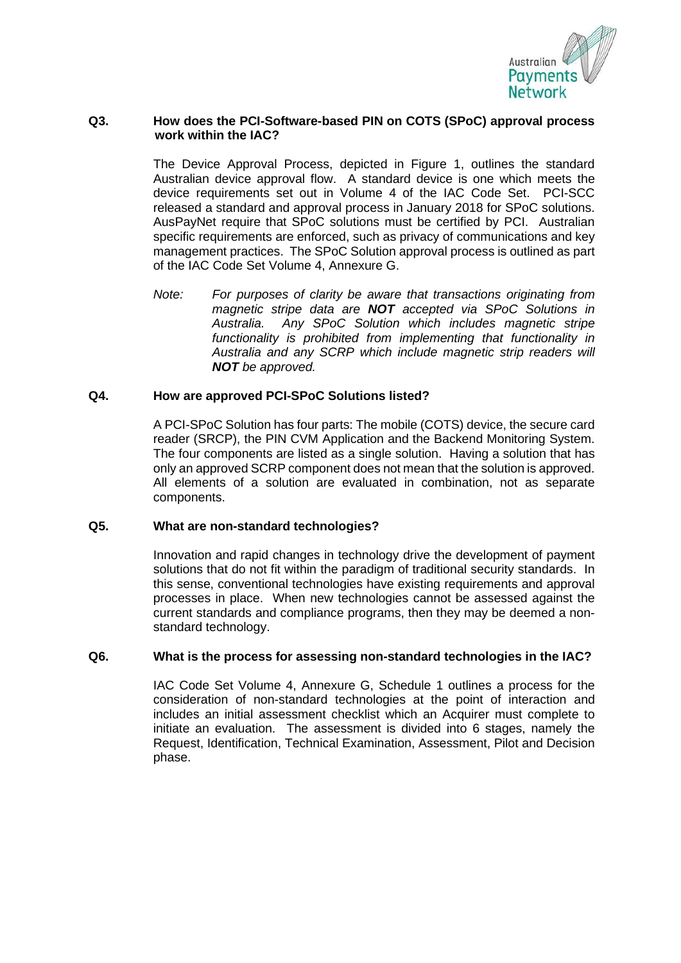

## **Q3. How does the PCI-Software-based PIN on COTS (SPoC) approval process work within the IAC?**

The Device Approval Process, depicted in Figure 1, outlines the standard Australian device approval flow. A standard device is one which meets the device requirements set out in Volume 4 of the IAC Code Set. PCI-SCC released a standard and approval process in January 2018 for SPoC solutions. AusPayNet require that SPoC solutions must be certified by PCI. Australian specific requirements are enforced, such as privacy of communications and key management practices. The SPoC Solution approval process is outlined as part of the IAC Code Set Volume 4, Annexure G.

*Note: For purposes of clarity be aware that transactions originating from magnetic stripe data are NOT accepted via SPoC Solutions in Australia. Any SPoC Solution which includes magnetic stripe functionality is prohibited from implementing that functionality in Australia and any SCRP which include magnetic strip readers will NOT be approved.* 

## **Q4. How are approved PCI-SPoC Solutions listed?**

A PCI-SPoC Solution has four parts: The mobile (COTS) device, the secure card reader (SRCP), the PIN CVM Application and the Backend Monitoring System. The four components are listed as a single solution. Having a solution that has only an approved SCRP component does not mean that the solution is approved. All elements of a solution are evaluated in combination, not as separate components.

#### **Q5. What are non-standard technologies?**

Innovation and rapid changes in technology drive the development of payment solutions that do not fit within the paradigm of traditional security standards. In this sense, conventional technologies have existing requirements and approval processes in place. When new technologies cannot be assessed against the current standards and compliance programs, then they may be deemed a nonstandard technology.

## **Q6. What is the process for assessing non-standard technologies in the IAC?**

IAC Code Set Volume 4, Annexure G, Schedule 1 outlines a process for the consideration of non-standard technologies at the point of interaction and includes an initial assessment checklist which an Acquirer must complete to initiate an evaluation. The assessment is divided into 6 stages, namely the Request, Identification, Technical Examination, Assessment, Pilot and Decision phase.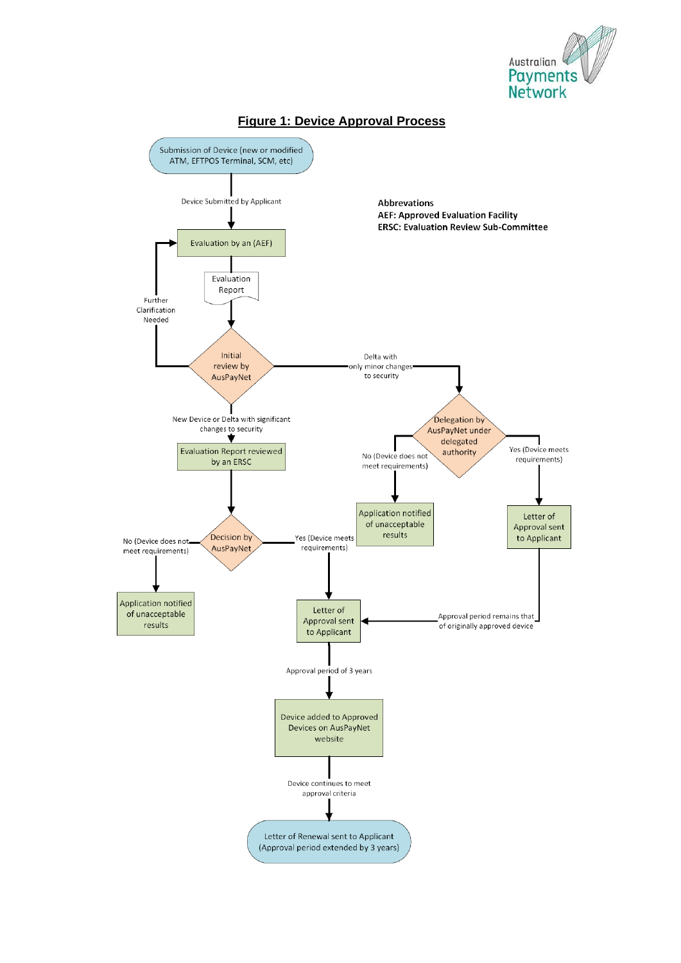



#### **Figure 1: Device Approval Process**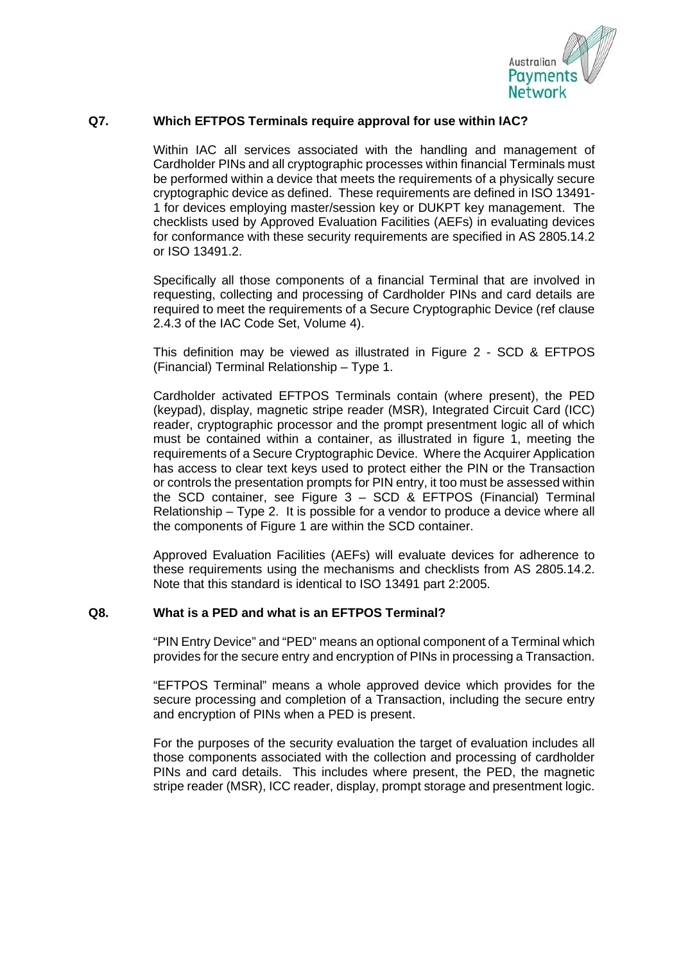

## **Q7. Which EFTPOS Terminals require approval for use within IAC?**

Within IAC all services associated with the handling and management of Cardholder PINs and all cryptographic processes within financial Terminals must be performed within a device that meets the requirements of a physically secure cryptographic device as defined. These requirements are defined in ISO 13491- 1 for devices employing master/session key or DUKPT key management. The checklists used by Approved Evaluation Facilities (AEFs) in evaluating devices for conformance with these security requirements are specified in AS 2805.14.2 or ISO 13491.2.

Specifically all those components of a financial Terminal that are involved in requesting, collecting and processing of Cardholder PINs and card details are required to meet the requirements of a Secure Cryptographic Device (ref clause 2.4.3 of the IAC Code Set, Volume 4).

This definition may be viewed as illustrated in Figure 2 - SCD & EFTPOS (Financial) Terminal Relationship – Type 1.

Cardholder activated EFTPOS Terminals contain (where present), the PED (keypad), display, magnetic stripe reader (MSR), Integrated Circuit Card (ICC) reader, cryptographic processor and the prompt presentment logic all of which must be contained within a container, as illustrated in figure 1, meeting the requirements of a Secure Cryptographic Device. Where the Acquirer Application has access to clear text keys used to protect either the PIN or the Transaction or controls the presentation prompts for PIN entry, it too must be assessed within the SCD container, see Figure 3 – SCD & EFTPOS (Financial) Terminal Relationship – Type 2. It is possible for a vendor to produce a device where all the components of Figure 1 are within the SCD container.

Approved Evaluation Facilities (AEFs) will evaluate devices for adherence to these requirements using the mechanisms and checklists from AS 2805.14.2. Note that this standard is identical to ISO 13491 part 2:2005.

#### **Q8. What is a PED and what is an EFTPOS Terminal?**

"PIN Entry Device" and "PED" means an optional component of a Terminal which provides for the secure entry and encryption of PINs in processing a Transaction.

"EFTPOS Terminal" means a whole approved device which provides for the secure processing and completion of a Transaction, including the secure entry and encryption of PINs when a PED is present.

For the purposes of the security evaluation the target of evaluation includes all those components associated with the collection and processing of cardholder PINs and card details. This includes where present, the PED, the magnetic stripe reader (MSR), ICC reader, display, prompt storage and presentment logic.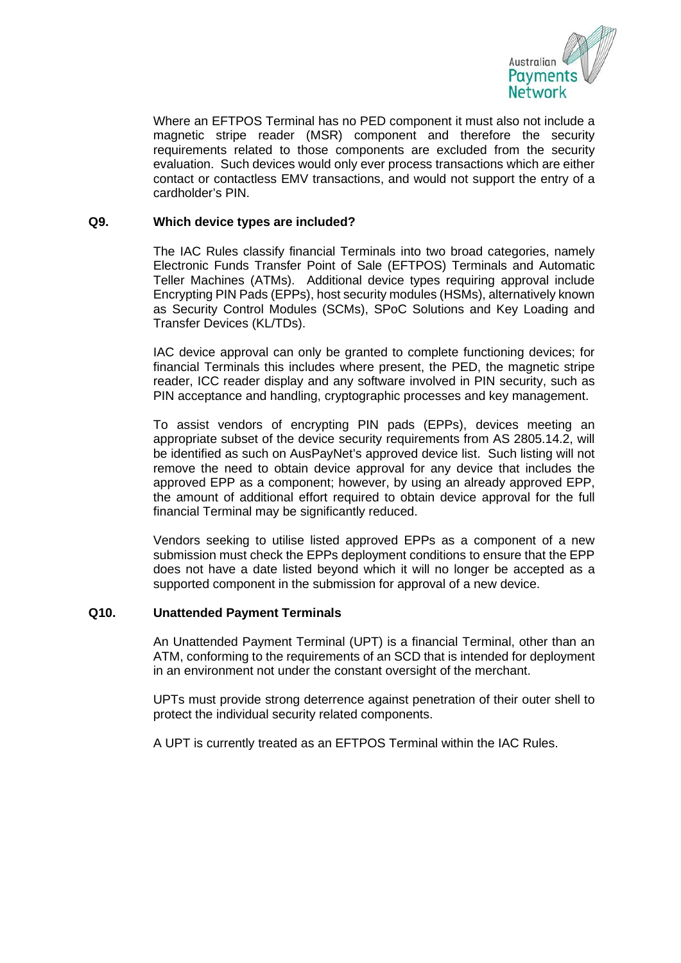

Where an EFTPOS Terminal has no PED component it must also not include a magnetic stripe reader (MSR) component and therefore the security requirements related to those components are excluded from the security evaluation. Such devices would only ever process transactions which are either contact or contactless EMV transactions, and would not support the entry of a cardholder's PIN.

## **Q9. Which device types are included?**

The IAC Rules classify financial Terminals into two broad categories, namely Electronic Funds Transfer Point of Sale (EFTPOS) Terminals and Automatic Teller Machines (ATMs). Additional device types requiring approval include Encrypting PIN Pads (EPPs), host security modules (HSMs), alternatively known as Security Control Modules (SCMs), SPoC Solutions and Key Loading and Transfer Devices (KL/TDs).

IAC device approval can only be granted to complete functioning devices; for financial Terminals this includes where present, the PED, the magnetic stripe reader, ICC reader display and any software involved in PIN security, such as PIN acceptance and handling, cryptographic processes and key management.

To assist vendors of encrypting PIN pads (EPPs), devices meeting an appropriate subset of the device security requirements from AS 2805.14.2, will be identified as such on AusPayNet's approved device list. Such listing will not remove the need to obtain device approval for any device that includes the approved EPP as a component; however, by using an already approved EPP, the amount of additional effort required to obtain device approval for the full financial Terminal may be significantly reduced.

Vendors seeking to utilise listed approved EPPs as a component of a new submission must check the EPPs deployment conditions to ensure that the EPP does not have a date listed beyond which it will no longer be accepted as a supported component in the submission for approval of a new device.

## **Q10. Unattended Payment Terminals**

An Unattended Payment Terminal (UPT) is a financial Terminal, other than an ATM, conforming to the requirements of an SCD that is intended for deployment in an environment not under the constant oversight of the merchant.

UPTs must provide strong deterrence against penetration of their outer shell to protect the individual security related components.

A UPT is currently treated as an EFTPOS Terminal within the IAC Rules.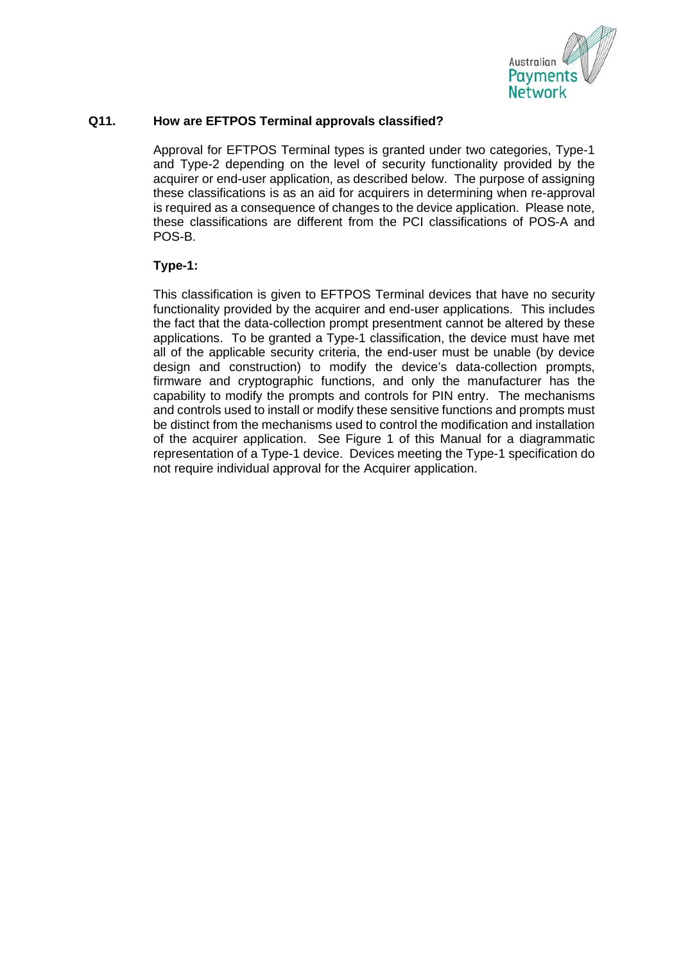

## **Q11. How are EFTPOS Terminal approvals classified?**

Approval for EFTPOS Terminal types is granted under two categories, Type-1 and Type-2 depending on the level of security functionality provided by the acquirer or end-user application, as described below. The purpose of assigning these classifications is as an aid for acquirers in determining when re-approval is required as a consequence of changes to the device application. Please note, these classifications are different from the PCI classifications of POS-A and POS-B.

## **Type-1:**

This classification is given to EFTPOS Terminal devices that have no security functionality provided by the acquirer and end-user applications. This includes the fact that the data-collection prompt presentment cannot be altered by these applications. To be granted a Type-1 classification, the device must have met all of the applicable security criteria, the end-user must be unable (by device design and construction) to modify the device's data-collection prompts, firmware and cryptographic functions, and only the manufacturer has the capability to modify the prompts and controls for PIN entry. The mechanisms and controls used to install or modify these sensitive functions and prompts must be distinct from the mechanisms used to control the modification and installation of the acquirer application. See Figure 1 of this Manual for a diagrammatic representation of a Type-1 device. Devices meeting the Type-1 specification do not require individual approval for the Acquirer application.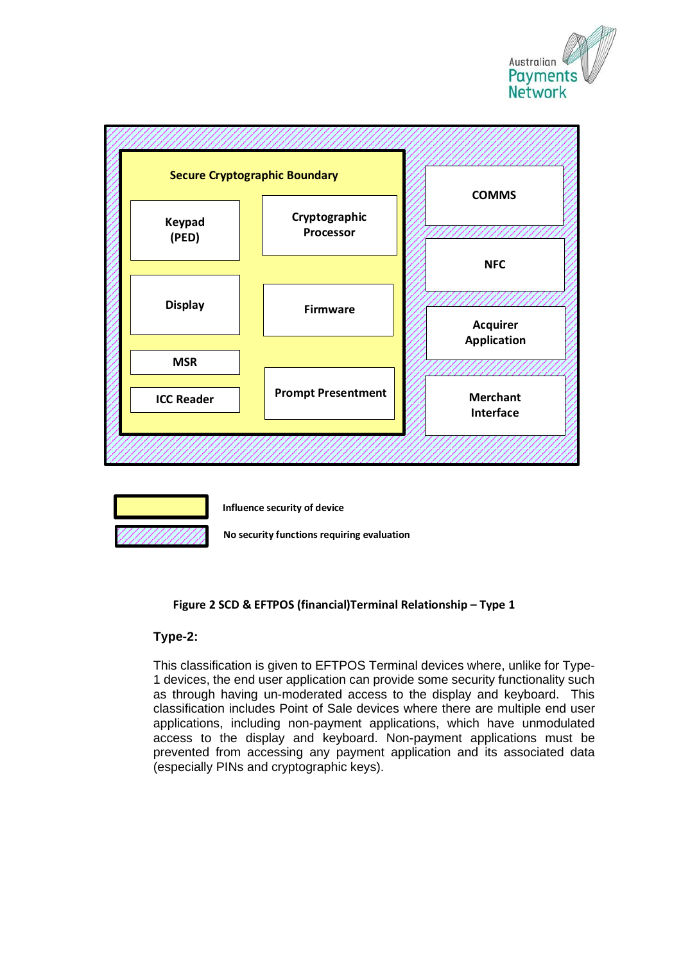





**Influence security of device**

**No security functions requiring evaluation**

## **Figure 2 SCD & EFTPOS (financial)Terminal Relationship – Type 1**

## **Type-2:**

This classification is given to EFTPOS Terminal devices where, unlike for Type-1 devices, the end user application can provide some security functionality such as through having un-moderated access to the display and keyboard. This classification includes Point of Sale devices where there are multiple end user applications, including non-payment applications, which have unmodulated access to the display and keyboard. Non-payment applications must be prevented from accessing any payment application and its associated data (especially PINs and cryptographic keys).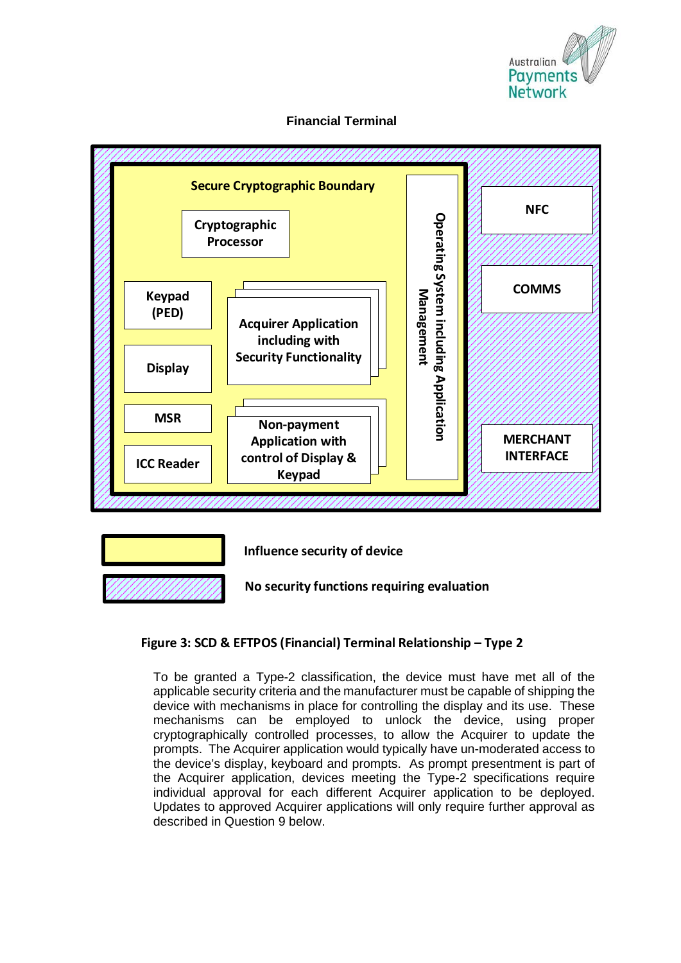

## **Financial Terminal**





**Influence security of device**

**No security functions requiring evaluation**

## **Figure 3: SCD & EFTPOS (Financial) Terminal Relationship – Type 2**

To be granted a Type-2 classification, the device must have met all of the applicable security criteria and the manufacturer must be capable of shipping the device with mechanisms in place for controlling the display and its use. These mechanisms can be employed to unlock the device, using proper cryptographically controlled processes, to allow the Acquirer to update the prompts. The Acquirer application would typically have un-moderated access to the device's display, keyboard and prompts. As prompt presentment is part of the Acquirer application, devices meeting the Type-2 specifications require individual approval for each different Acquirer application to be deployed. Updates to approved Acquirer applications will only require further approval as described in Question 9 below.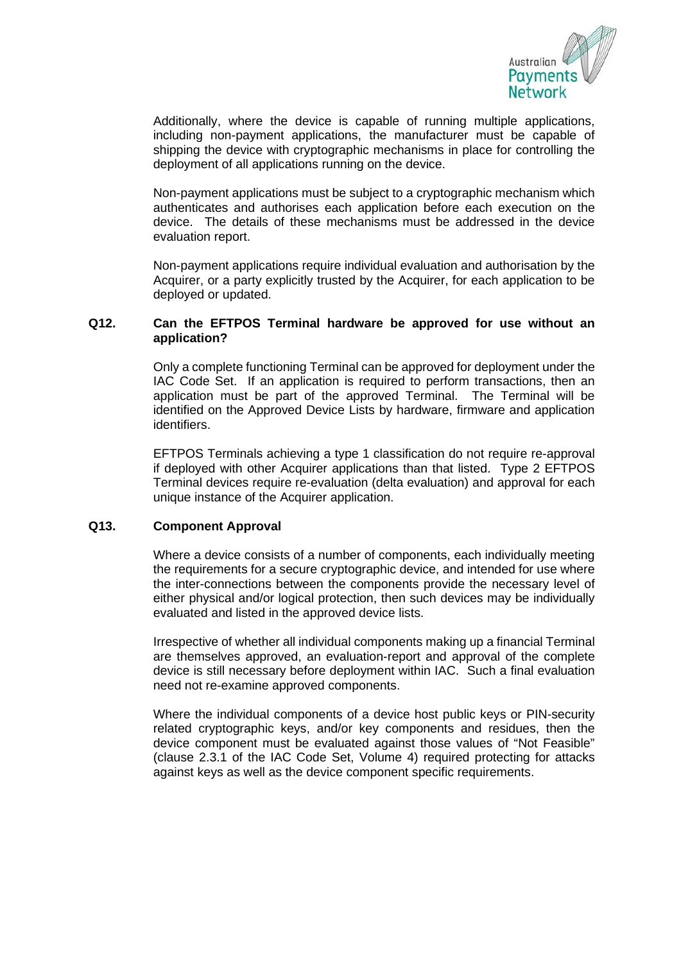

Additionally, where the device is capable of running multiple applications, including non-payment applications, the manufacturer must be capable of shipping the device with cryptographic mechanisms in place for controlling the deployment of all applications running on the device.

Non-payment applications must be subject to a cryptographic mechanism which authenticates and authorises each application before each execution on the device. The details of these mechanisms must be addressed in the device evaluation report.

Non-payment applications require individual evaluation and authorisation by the Acquirer, or a party explicitly trusted by the Acquirer, for each application to be deployed or updated.

## **Q12. Can the EFTPOS Terminal hardware be approved for use without an application?**

Only a complete functioning Terminal can be approved for deployment under the IAC Code Set. If an application is required to perform transactions, then an application must be part of the approved Terminal. The Terminal will be identified on the Approved Device Lists by hardware, firmware and application identifiers.

EFTPOS Terminals achieving a type 1 classification do not require re-approval if deployed with other Acquirer applications than that listed. Type 2 EFTPOS Terminal devices require re-evaluation (delta evaluation) and approval for each unique instance of the Acquirer application.

#### **Q13. Component Approval**

Where a device consists of a number of components, each individually meeting the requirements for a secure cryptographic device, and intended for use where the inter-connections between the components provide the necessary level of either physical and/or logical protection, then such devices may be individually evaluated and listed in the approved device lists.

Irrespective of whether all individual components making up a financial Terminal are themselves approved, an evaluation-report and approval of the complete device is still necessary before deployment within IAC. Such a final evaluation need not re-examine approved components.

Where the individual components of a device host public keys or PIN-security related cryptographic keys, and/or key components and residues, then the device component must be evaluated against those values of "Not Feasible" (clause 2.3.1 of the IAC Code Set, Volume 4) required protecting for attacks against keys as well as the device component specific requirements.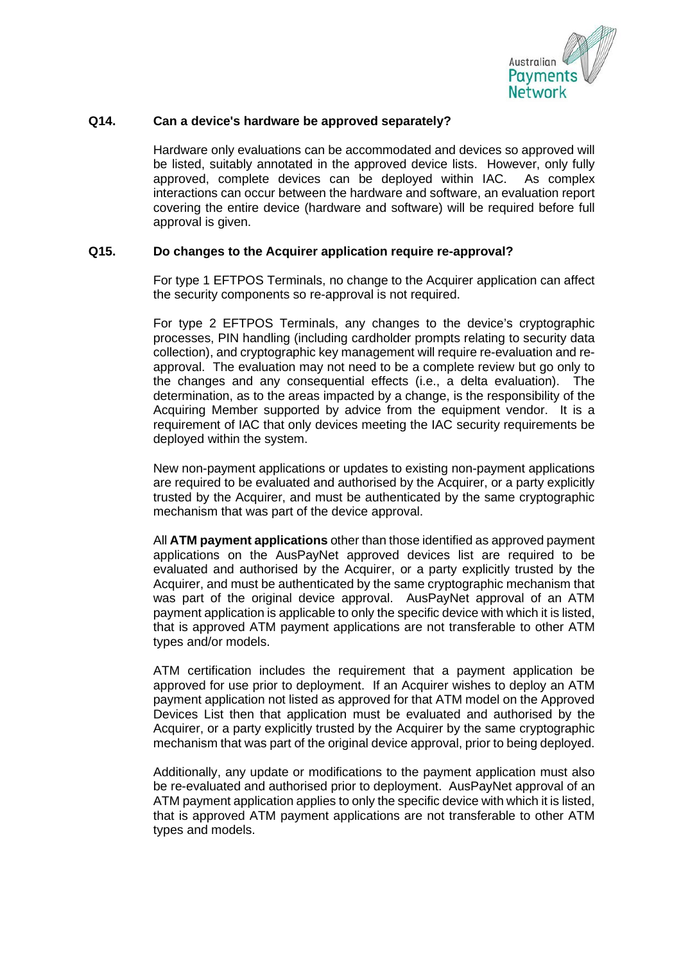

## **Q14. Can a device's hardware be approved separately?**

Hardware only evaluations can be accommodated and devices so approved will be listed, suitably annotated in the approved device lists. However, only fully approved, complete devices can be deployed within IAC. As complex interactions can occur between the hardware and software, an evaluation report covering the entire device (hardware and software) will be required before full approval is given.

## **Q15. Do changes to the Acquirer application require re-approval?**

For type 1 EFTPOS Terminals, no change to the Acquirer application can affect the security components so re-approval is not required.

For type 2 EFTPOS Terminals, any changes to the device's cryptographic processes, PIN handling (including cardholder prompts relating to security data collection), and cryptographic key management will require re-evaluation and reapproval. The evaluation may not need to be a complete review but go only to the changes and any consequential effects (i.e., a delta evaluation). The determination, as to the areas impacted by a change, is the responsibility of the Acquiring Member supported by advice from the equipment vendor. It is a requirement of IAC that only devices meeting the IAC security requirements be deployed within the system.

New non-payment applications or updates to existing non-payment applications are required to be evaluated and authorised by the Acquirer, or a party explicitly trusted by the Acquirer, and must be authenticated by the same cryptographic mechanism that was part of the device approval.

All **ATM payment applications** other than those identified as approved payment applications on the AusPayNet approved devices list are required to be evaluated and authorised by the Acquirer, or a party explicitly trusted by the Acquirer, and must be authenticated by the same cryptographic mechanism that was part of the original device approval. AusPayNet approval of an ATM payment application is applicable to only the specific device with which it is listed, that is approved ATM payment applications are not transferable to other ATM types and/or models.

ATM certification includes the requirement that a payment application be approved for use prior to deployment. If an Acquirer wishes to deploy an ATM payment application not listed as approved for that ATM model on the Approved Devices List then that application must be evaluated and authorised by the Acquirer, or a party explicitly trusted by the Acquirer by the same cryptographic mechanism that was part of the original device approval, prior to being deployed.

Additionally, any update or modifications to the payment application must also be re-evaluated and authorised prior to deployment. AusPayNet approval of an ATM payment application applies to only the specific device with which it is listed, that is approved ATM payment applications are not transferable to other ATM types and models.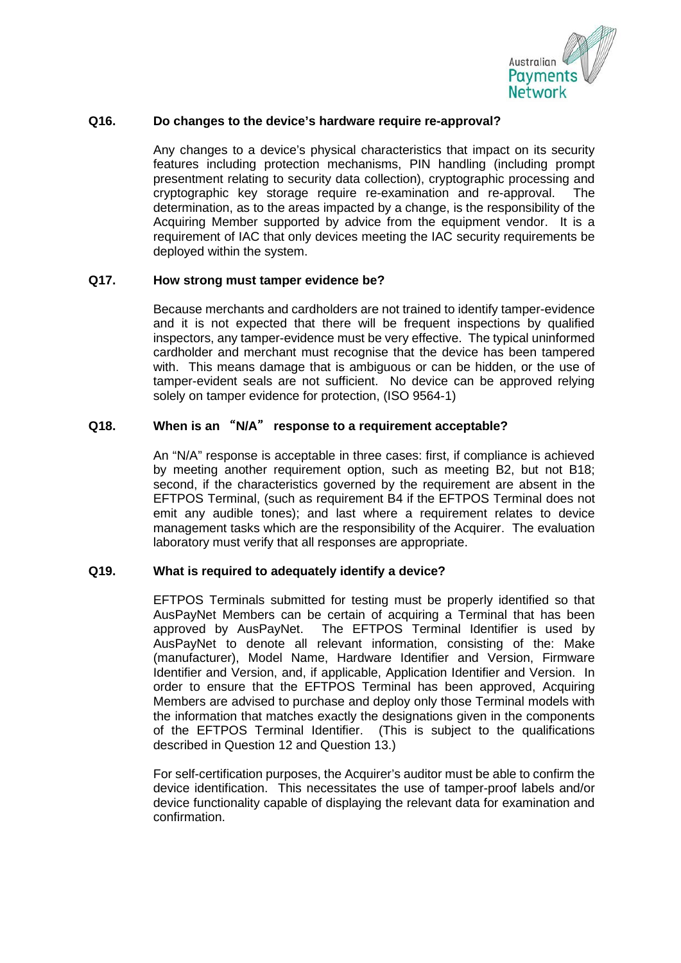

## **Q16. Do changes to the device's hardware require re-approval?**

Any changes to a device's physical characteristics that impact on its security features including protection mechanisms, PIN handling (including prompt presentment relating to security data collection), cryptographic processing and cryptographic key storage require re-examination and re-approval. The determination, as to the areas impacted by a change, is the responsibility of the Acquiring Member supported by advice from the equipment vendor. It is a requirement of IAC that only devices meeting the IAC security requirements be deployed within the system.

#### **Q17. How strong must tamper evidence be?**

Because merchants and cardholders are not trained to identify tamper-evidence and it is not expected that there will be frequent inspections by qualified inspectors, any tamper-evidence must be very effective. The typical uninformed cardholder and merchant must recognise that the device has been tampered with. This means damage that is ambiguous or can be hidden, or the use of tamper-evident seals are not sufficient. No device can be approved relying solely on tamper evidence for protection, (ISO 9564-1)

## **Q18. When is an** "**N/A**" **response to a requirement acceptable?**

An "N/A" response is acceptable in three cases: first, if compliance is achieved by meeting another requirement option, such as meeting B2, but not B18; second, if the characteristics governed by the requirement are absent in the EFTPOS Terminal, (such as requirement B4 if the EFTPOS Terminal does not emit any audible tones); and last where a requirement relates to device management tasks which are the responsibility of the Acquirer. The evaluation laboratory must verify that all responses are appropriate.

## **Q19. What is required to adequately identify a device?**

EFTPOS Terminals submitted for testing must be properly identified so that AusPayNet Members can be certain of acquiring a Terminal that has been approved by AusPayNet. The EFTPOS Terminal Identifier is used by AusPayNet to denote all relevant information, consisting of the: Make (manufacturer), Model Name, Hardware Identifier and Version, Firmware Identifier and Version, and, if applicable, Application Identifier and Version. In order to ensure that the EFTPOS Terminal has been approved, Acquiring Members are advised to purchase and deploy only those Terminal models with the information that matches exactly the designations given in the components of the EFTPOS Terminal Identifier. (This is subject to the qualifications described in Question 12 and Question 13.)

For self-certification purposes, the Acquirer's auditor must be able to confirm the device identification. This necessitates the use of tamper-proof labels and/or device functionality capable of displaying the relevant data for examination and confirmation.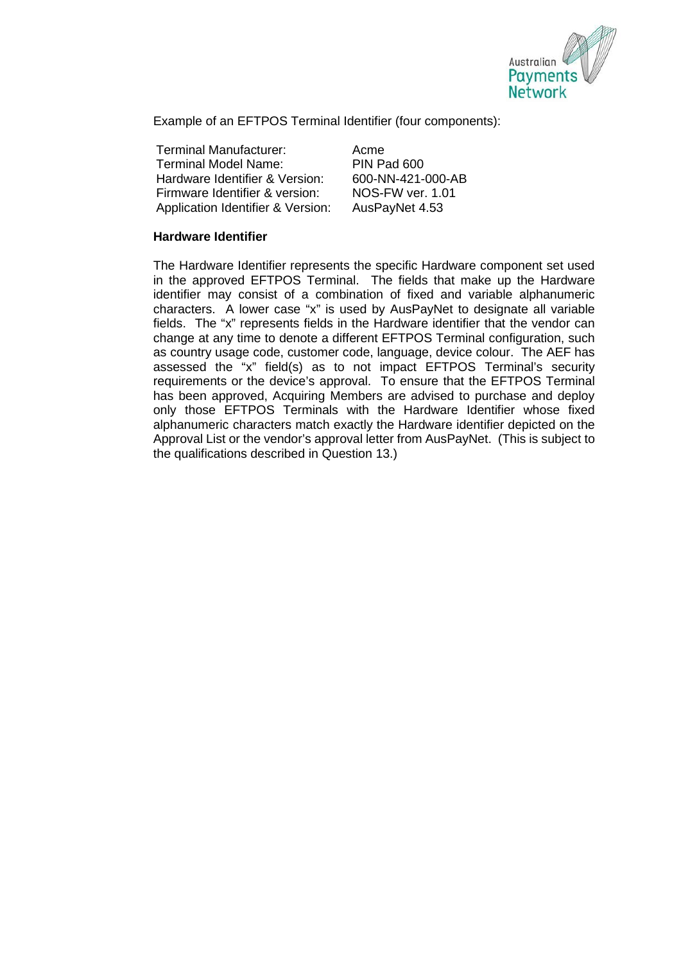

Example of an EFTPOS Terminal Identifier (four components):

Terminal Manufacturer: Acme Terminal Model Name: PIN Pad 600 Hardware Identifier & Version: 600-NN-421-000-AB<br>Firmware Identifier & version: 600-FW ver. 1.01 Firmware Identifier & version: NOS-FW ver. 1.0<br>Application Identifier & Version: AusPavNet 4.53 Application Identifier & Version:

## **Hardware Identifier**

The Hardware Identifier represents the specific Hardware component set used in the approved EFTPOS Terminal. The fields that make up the Hardware identifier may consist of a combination of fixed and variable alphanumeric characters. A lower case "x" is used by AusPayNet to designate all variable fields. The "x" represents fields in the Hardware identifier that the vendor can change at any time to denote a different EFTPOS Terminal configuration, such as country usage code, customer code, language, device colour. The AEF has assessed the "x" field(s) as to not impact EFTPOS Terminal's security requirements or the device's approval. To ensure that the EFTPOS Terminal has been approved, Acquiring Members are advised to purchase and deploy only those EFTPOS Terminals with the Hardware Identifier whose fixed alphanumeric characters match exactly the Hardware identifier depicted on the Approval List or the vendor's approval letter from AusPayNet. (This is subject to the qualifications described in Question 13.)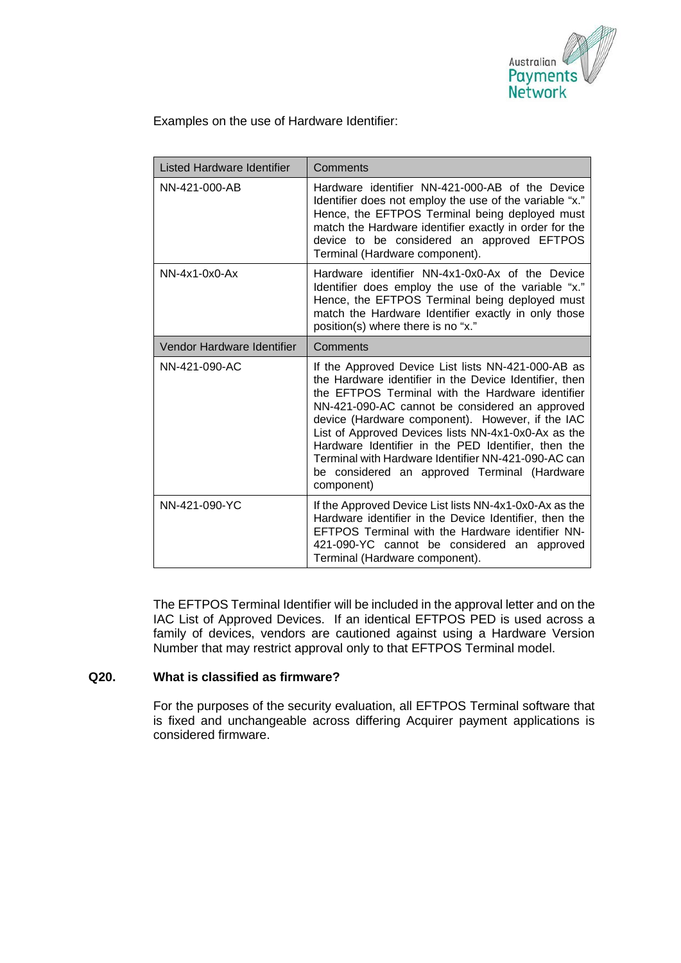

Examples on the use of Hardware Identifier:

| Listed Hardware Identifier | Comments                                                                                                                                                                                                                                                                                                                                                                                                                                                                                                  |
|----------------------------|-----------------------------------------------------------------------------------------------------------------------------------------------------------------------------------------------------------------------------------------------------------------------------------------------------------------------------------------------------------------------------------------------------------------------------------------------------------------------------------------------------------|
| NN-421-000-AB              | Hardware identifier NN-421-000-AB of the Device<br>ldentifier does not employ the use of the variable "x."<br>Hence, the EFTPOS Terminal being deployed must<br>match the Hardware identifier exactly in order for the<br>device to be considered an approved EFTPOS<br>Terminal (Hardware component).                                                                                                                                                                                                    |
| $NN-4x1-0x0-Ax$            | Hardware identifier NN-4x1-0x0-Ax of the Device<br>ldentifier does employ the use of the variable "x."<br>Hence, the EFTPOS Terminal being deployed must<br>match the Hardware Identifier exactly in only those<br>position(s) where there is no "x."                                                                                                                                                                                                                                                     |
| Vendor Hardware Identifier | Comments                                                                                                                                                                                                                                                                                                                                                                                                                                                                                                  |
| NN-421-090-AC              | If the Approved Device List lists NN-421-000-AB as<br>the Hardware identifier in the Device Identifier, then<br>the EFTPOS Terminal with the Hardware identifier<br>NN-421-090-AC cannot be considered an approved<br>device (Hardware component). However, if the IAC<br>List of Approved Devices lists NN-4x1-0x0-Ax as the<br>Hardware Identifier in the PED Identifier, then the<br>Terminal with Hardware Identifier NN-421-090-AC can<br>be considered an approved Terminal (Hardware<br>component) |
| NN-421-090-YC              | If the Approved Device List lists NN-4x1-0x0-Ax as the<br>Hardware identifier in the Device Identifier, then the<br>EFTPOS Terminal with the Hardware identifier NN-<br>421-090-YC cannot be considered an approved<br>Terminal (Hardware component).                                                                                                                                                                                                                                                     |

The EFTPOS Terminal Identifier will be included in the approval letter and on the IAC List of Approved Devices. If an identical EFTPOS PED is used across a family of devices, vendors are cautioned against using a Hardware Version Number that may restrict approval only to that EFTPOS Terminal model.

## **Q20. What is classified as firmware?**

For the purposes of the security evaluation, all EFTPOS Terminal software that is fixed and unchangeable across differing Acquirer payment applications is considered firmware.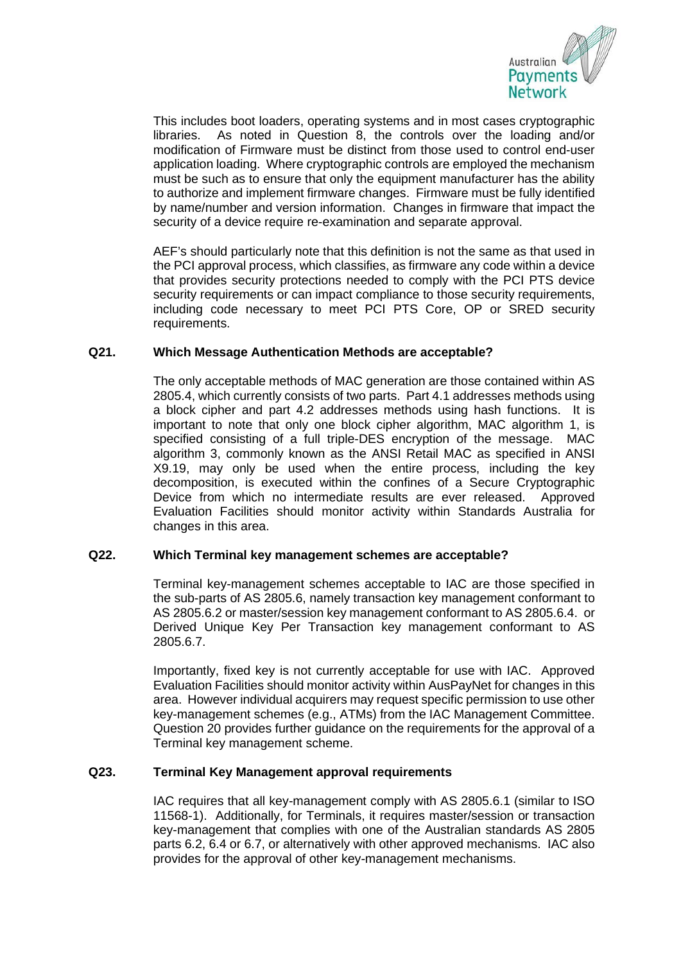

This includes boot loaders, operating systems and in most cases cryptographic libraries. As noted in Question 8, the controls over the loading and/or modification of Firmware must be distinct from those used to control end-user application loading. Where cryptographic controls are employed the mechanism must be such as to ensure that only the equipment manufacturer has the ability to authorize and implement firmware changes. Firmware must be fully identified by name/number and version information. Changes in firmware that impact the security of a device require re-examination and separate approval.

AEF's should particularly note that this definition is not the same as that used in the PCI approval process, which classifies, as firmware any code within a device that provides security protections needed to comply with the PCI PTS device security requirements or can impact compliance to those security requirements, including code necessary to meet PCI PTS Core, OP or SRED security requirements.

## **Q21. Which Message Authentication Methods are acceptable?**

The only acceptable methods of MAC generation are those contained within AS 2805.4, which currently consists of two parts. Part 4.1 addresses methods using a block cipher and part 4.2 addresses methods using hash functions. It is important to note that only one block cipher algorithm, MAC algorithm 1, is specified consisting of a full triple-DES encryption of the message. MAC algorithm 3, commonly known as the ANSI Retail MAC as specified in ANSI X9.19, may only be used when the entire process, including the key decomposition, is executed within the confines of a Secure Cryptographic Device from which no intermediate results are ever released. Approved Evaluation Facilities should monitor activity within Standards Australia for changes in this area.

## **Q22. Which Terminal key management schemes are acceptable?**

Terminal key-management schemes acceptable to IAC are those specified in the sub-parts of AS 2805.6, namely transaction key management conformant to AS 2805.6.2 or master/session key management conformant to AS 2805.6.4. or Derived Unique Key Per Transaction key management conformant to AS 2805.6.7.

Importantly, fixed key is not currently acceptable for use with IAC. Approved Evaluation Facilities should monitor activity within AusPayNet for changes in this area. However individual acquirers may request specific permission to use other key-management schemes (e.g., ATMs) from the IAC Management Committee. Question 20 provides further guidance on the requirements for the approval of a Terminal key management scheme.

## **Q23. Terminal Key Management approval requirements**

IAC requires that all key-management comply with AS 2805.6.1 (similar to ISO 11568-1). Additionally, for Terminals, it requires master/session or transaction key-management that complies with one of the Australian standards AS 2805 parts 6.2, 6.4 or 6.7, or alternatively with other approved mechanisms. IAC also provides for the approval of other key-management mechanisms.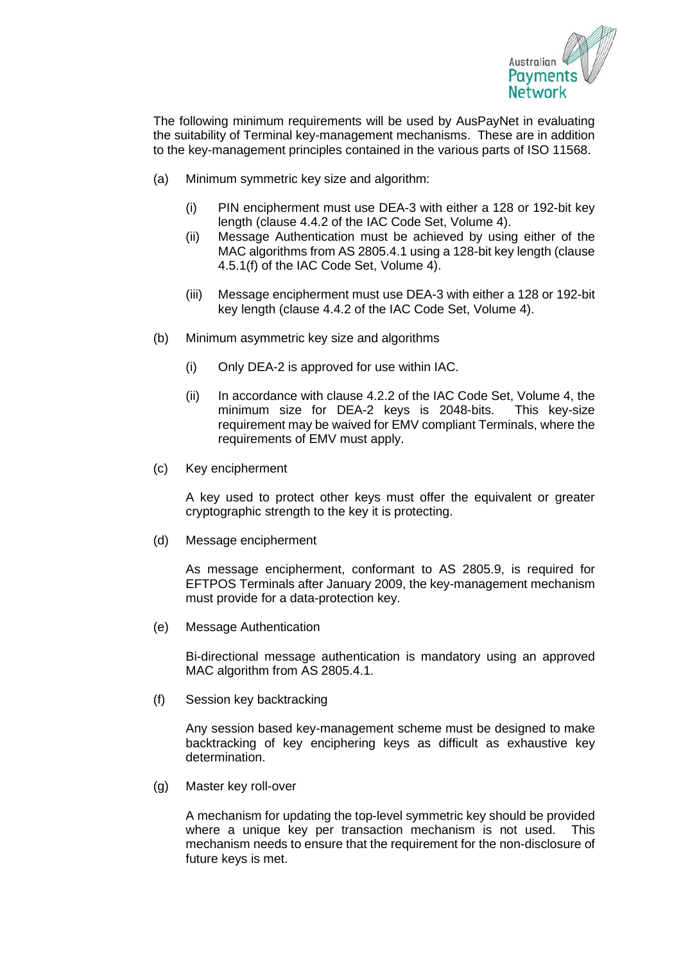

The following minimum requirements will be used by AusPayNet in evaluating the suitability of Terminal key-management mechanisms. These are in addition to the key-management principles contained in the various parts of ISO 11568.

- (a) Minimum symmetric key size and algorithm:
	- (i) PIN encipherment must use DEA-3 with either a 128 or 192-bit key length (clause 4.4.2 of the IAC Code Set, Volume 4).
	- (ii) Message Authentication must be achieved by using either of the MAC algorithms from AS 2805.4.1 using a 128-bit key length (clause 4.5.1(f) of the IAC Code Set, Volume 4).
	- (iii) Message encipherment must use DEA-3 with either a 128 or 192-bit key length (clause 4.4.2 of the IAC Code Set, Volume 4).
- (b) Minimum asymmetric key size and algorithms
	- (i) Only DEA-2 is approved for use within IAC.
	- (ii) In accordance with clause 4.2.2 of the IAC Code Set, Volume 4, the minimum size for DEA-2 keys is 2048-bits. This key-size requirement may be waived for EMV compliant Terminals, where the requirements of EMV must apply.
- (c) Key encipherment

A key used to protect other keys must offer the equivalent or greater cryptographic strength to the key it is protecting.

(d) Message encipherment

As message encipherment, conformant to AS 2805.9, is required for EFTPOS Terminals after January 2009, the key-management mechanism must provide for a data-protection key.

(e) Message Authentication

Bi-directional message authentication is mandatory using an approved MAC algorithm from AS 2805.4.1.

(f) Session key backtracking

Any session based key-management scheme must be designed to make backtracking of key enciphering keys as difficult as exhaustive key determination.

(g) Master key roll-over

A mechanism for updating the top-level symmetric key should be provided where a unique key per transaction mechanism is not used. This mechanism needs to ensure that the requirement for the non-disclosure of future keys is met.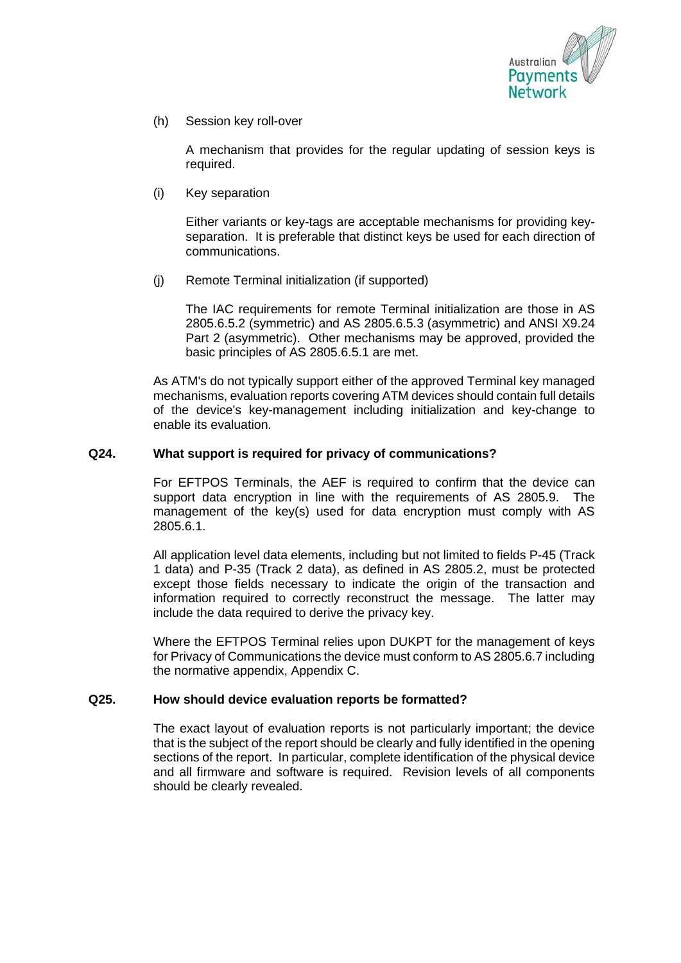

(h) Session key roll-over

A mechanism that provides for the regular updating of session keys is required.

(i) Key separation

Either variants or key-tags are acceptable mechanisms for providing keyseparation. It is preferable that distinct keys be used for each direction of communications.

(j) Remote Terminal initialization (if supported)

The IAC requirements for remote Terminal initialization are those in AS 2805.6.5.2 (symmetric) and AS 2805.6.5.3 (asymmetric) and ANSI X9.24 Part 2 (asymmetric). Other mechanisms may be approved, provided the basic principles of AS 2805.6.5.1 are met.

As ATM's do not typically support either of the approved Terminal key managed mechanisms, evaluation reports covering ATM devices should contain full details of the device's key-management including initialization and key-change to enable its evaluation.

## **Q24. What support is required for privacy of communications?**

For EFTPOS Terminals, the AEF is required to confirm that the device can support data encryption in line with the requirements of AS 2805.9. The management of the key(s) used for data encryption must comply with AS 2805.6.1.

All application level data elements, including but not limited to fields P-45 (Track 1 data) and P-35 (Track 2 data), as defined in AS 2805.2, must be protected except those fields necessary to indicate the origin of the transaction and information required to correctly reconstruct the message. The latter may include the data required to derive the privacy key.

Where the EFTPOS Terminal relies upon DUKPT for the management of keys for Privacy of Communications the device must conform to AS 2805.6.7 including the normative appendix, Appendix C.

## **Q25. How should device evaluation reports be formatted?**

The exact layout of evaluation reports is not particularly important; the device that is the subject of the report should be clearly and fully identified in the opening sections of the report. In particular, complete identification of the physical device and all firmware and software is required. Revision levels of all components should be clearly revealed.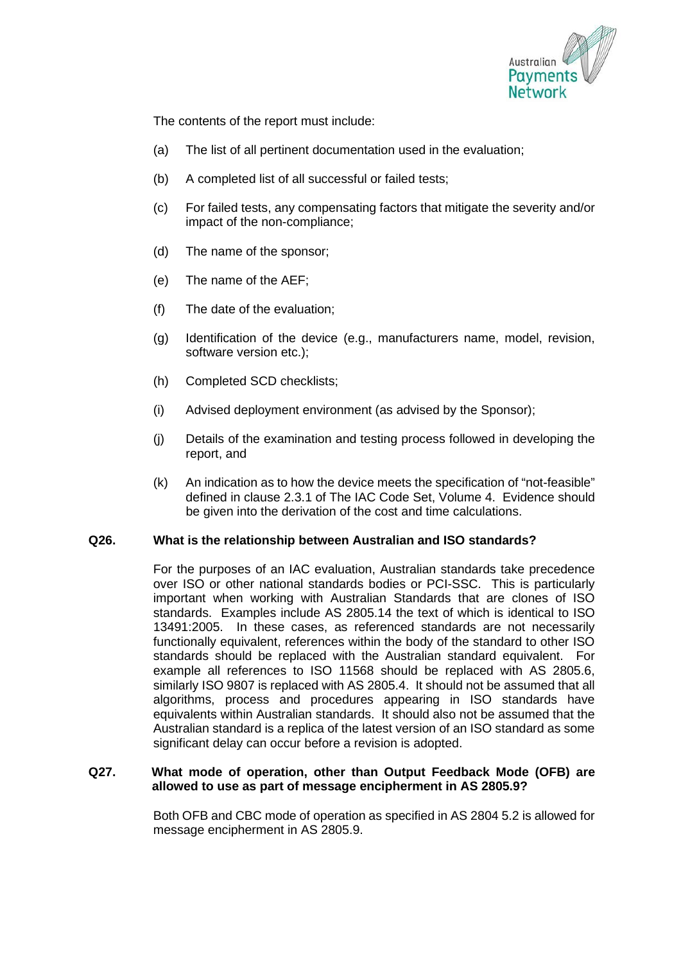

The contents of the report must include:

- (a) The list of all pertinent documentation used in the evaluation;
- (b) A completed list of all successful or failed tests;
- (c) For failed tests, any compensating factors that mitigate the severity and/or impact of the non-compliance;
- (d) The name of the sponsor;
- (e) The name of the AEF;
- (f) The date of the evaluation;
- (g) Identification of the device (e.g., manufacturers name, model, revision, software version etc.);
- (h) Completed SCD checklists;
- (i) Advised deployment environment (as advised by the Sponsor);
- (j) Details of the examination and testing process followed in developing the report, and
- (k) An indication as to how the device meets the specification of "not-feasible" defined in clause 2.3.1 of The IAC Code Set, Volume 4. Evidence should be given into the derivation of the cost and time calculations.

#### **Q26. What is the relationship between Australian and ISO standards?**

For the purposes of an IAC evaluation, Australian standards take precedence over ISO or other national standards bodies or PCI-SSC. This is particularly important when working with Australian Standards that are clones of ISO standards. Examples include AS 2805.14 the text of which is identical to ISO 13491:2005. In these cases, as referenced standards are not necessarily functionally equivalent, references within the body of the standard to other ISO standards should be replaced with the Australian standard equivalent. For example all references to ISO 11568 should be replaced with AS 2805.6, similarly ISO 9807 is replaced with AS 2805.4. It should not be assumed that all algorithms, process and procedures appearing in ISO standards have equivalents within Australian standards. It should also not be assumed that the Australian standard is a replica of the latest version of an ISO standard as some significant delay can occur before a revision is adopted.

#### **Q27. What mode of operation, other than Output Feedback Mode (OFB) are allowed to use as part of message encipherment in AS 2805.9?**

Both OFB and CBC mode of operation as specified in AS 2804 5.2 is allowed for message encipherment in AS 2805.9.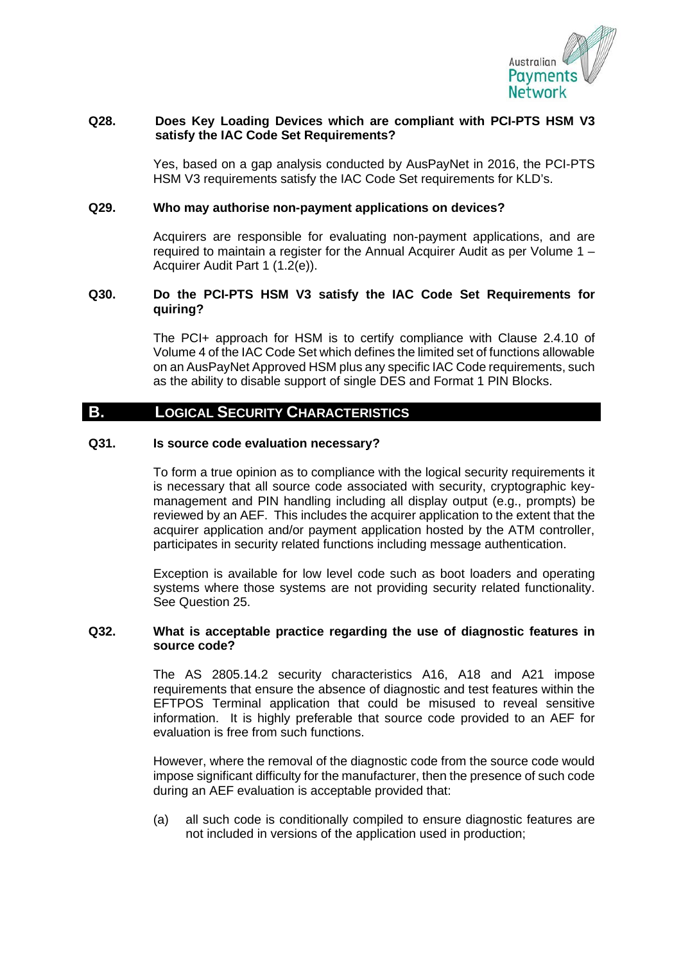

## **Q28. Does Key Loading Devices which are compliant with PCI-PTS HSM V3 satisfy the IAC Code Set Requirements?**

Yes, based on a gap analysis conducted by AusPayNet in 2016, the PCI-PTS HSM V3 requirements satisfy the IAC Code Set requirements for KLD's.

## **Q29. Who may authorise non-payment applications on devices?**

Acquirers are responsible for evaluating non-payment applications, and are required to maintain a register for the Annual Acquirer Audit as per Volume 1 – Acquirer Audit Part 1 (1.2(e)).

#### **Q30. Do the PCI-PTS HSM V3 satisfy the IAC Code Set Requirements for quiring?**

The PCI+ approach for HSM is to certify compliance with Clause 2.4.10 of Volume 4 of the IAC Code Set which defines the limited set of functions allowable on an AusPayNet Approved HSM plus any specific IAC Code requirements, such as the ability to disable support of single DES and Format 1 PIN Blocks.

## **B. LOGICAL SECURITY CHARACTERISTICS**

#### **Q31. Is source code evaluation necessary?**

To form a true opinion as to compliance with the logical security requirements it is necessary that all source code associated with security, cryptographic keymanagement and PIN handling including all display output (e.g., prompts) be reviewed by an AEF. This includes the acquirer application to the extent that the acquirer application and/or payment application hosted by the ATM controller, participates in security related functions including message authentication.

Exception is available for low level code such as boot loaders and operating systems where those systems are not providing security related functionality. See Question 25.

#### **Q32. What is acceptable practice regarding the use of diagnostic features in source code?**

The AS 2805.14.2 security characteristics A16, A18 and A21 impose requirements that ensure the absence of diagnostic and test features within the EFTPOS Terminal application that could be misused to reveal sensitive information. It is highly preferable that source code provided to an AEF for evaluation is free from such functions.

However, where the removal of the diagnostic code from the source code would impose significant difficulty for the manufacturer, then the presence of such code during an AEF evaluation is acceptable provided that:

(a) all such code is conditionally compiled to ensure diagnostic features are not included in versions of the application used in production;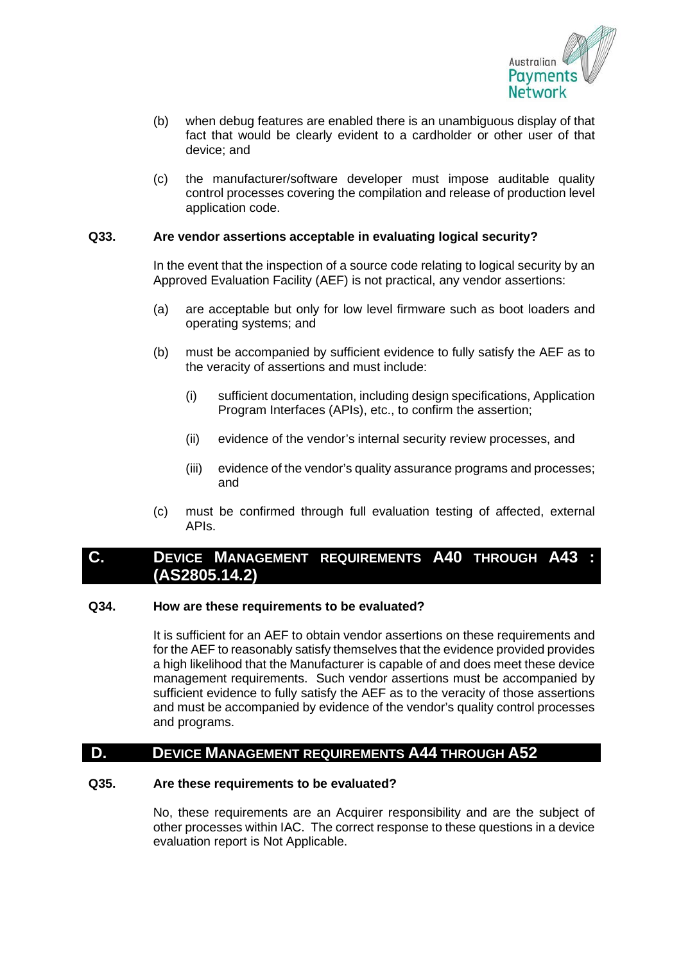

- (b) when debug features are enabled there is an unambiguous display of that fact that would be clearly evident to a cardholder or other user of that device; and
- (c) the manufacturer/software developer must impose auditable quality control processes covering the compilation and release of production level application code.

## **Q33. Are vendor assertions acceptable in evaluating logical security?**

In the event that the inspection of a source code relating to logical security by an Approved Evaluation Facility (AEF) is not practical, any vendor assertions:

- (a) are acceptable but only for low level firmware such as boot loaders and operating systems; and
- (b) must be accompanied by sufficient evidence to fully satisfy the AEF as to the veracity of assertions and must include:
	- (i) sufficient documentation, including design specifications, Application Program Interfaces (APIs), etc., to confirm the assertion;
	- (ii) evidence of the vendor's internal security review processes, and
	- (iii) evidence of the vendor's quality assurance programs and processes; and
- (c) must be confirmed through full evaluation testing of affected, external APIs.

## **C. DEVICE MANAGEMENT REQUIREMENTS A40 THROUGH A43 : (AS2805.14.2)**

#### **Q34. How are these requirements to be evaluated?**

It is sufficient for an AEF to obtain vendor assertions on these requirements and for the AEF to reasonably satisfy themselves that the evidence provided provides a high likelihood that the Manufacturer is capable of and does meet these device management requirements. Such vendor assertions must be accompanied by sufficient evidence to fully satisfy the AEF as to the veracity of those assertions and must be accompanied by evidence of the vendor's quality control processes and programs.

## **D. DEVICE MANAGEMENT REQUIREMENTS A44 THROUGH A52**

#### **Q35. Are these requirements to be evaluated?**

No, these requirements are an Acquirer responsibility and are the subject of other processes within IAC. The correct response to these questions in a device evaluation report is Not Applicable.